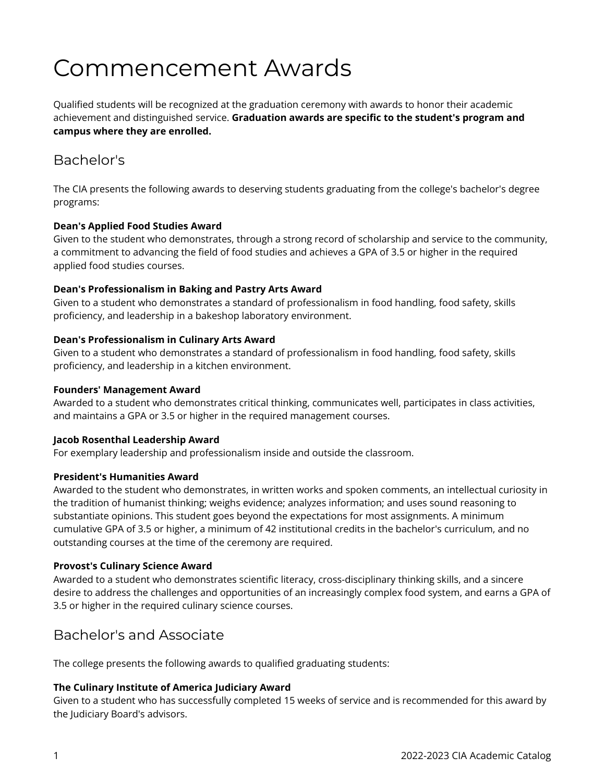# Commencement Awards

Qualified students will be recognized at the graduation ceremony with awards to honor their academic achievement and distinguished service. **Graduation awards are specific to the student's program and campus where they are enrolled.** 

# Bachelor's

The CIA presents the following awards to deserving students graduating from the college's bachelor's degree programs:

## **Dean's Applied Food Studies Award**

Given to the student who demonstrates, through a strong record of scholarship and service to the community, a commitment to advancing the field of food studies and achieves a GPA of 3.5 or higher in the required applied food studies courses.

## **Dean's Professionalism in Baking and Pastry Arts Award**

Given to a student who demonstrates a standard of professionalism in food handling, food safety, skills proficiency, and leadership in a bakeshop laboratory environment.

# **Dean's Professionalism in Culinary Arts Award**

Given to a student who demonstrates a standard of professionalism in food handling, food safety, skills proficiency, and leadership in a kitchen environment.

## **Founders' Management Award**

Awarded to a student who demonstrates critical thinking, communicates well, participates in class activities, and maintains a GPA or 3.5 or higher in the required management courses.

## **Jacob Rosenthal Leadership Award**

For exemplary leadership and professionalism inside and outside the classroom.

## **President's Humanities Award**

Awarded to the student who demonstrates, in written works and spoken comments, an intellectual curiosity in the tradition of humanist thinking; weighs evidence; analyzes information; and uses sound reasoning to substantiate opinions. This student goes beyond the expectations for most assignments. A minimum cumulative GPA of 3.5 or higher, a minimum of 42 institutional credits in the bachelor's curriculum, and no outstanding courses at the time of the ceremony are required.

## **Provost's Culinary Science Award**

Awarded to a student who demonstrates scientific literacy, cross-disciplinary thinking skills, and a sincere desire to address the challenges and opportunities of an increasingly complex food system, and earns a GPA of 3.5 or higher in the required culinary science courses.

# Bachelor's and Associate

The college presents the following awards to qualified graduating students:

## **The Culinary Institute of America Judiciary Award**

Given to a student who has successfully completed 15 weeks of service and is recommended for this award by the Judiciary Board's advisors.